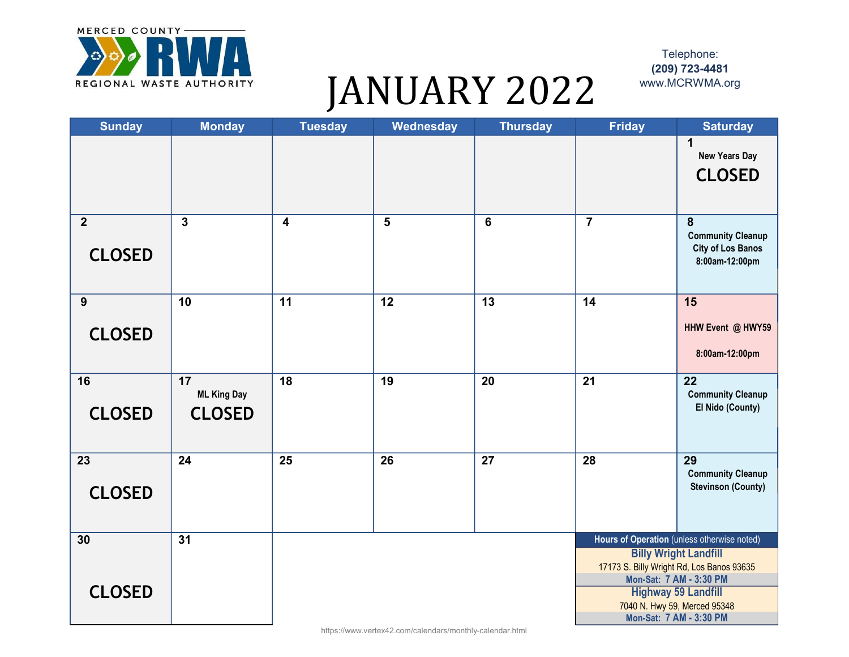

## JANUARY 2022 WWW.MCRWMA.org

Telephone: (209) 723-4481

| <b>Sunday</b>  | <b>Monday</b>            | <b>Tuesday</b>          | Wednesday | <b>Thursday</b> | <b>Friday</b>   | <b>Saturday</b>                                                           |
|----------------|--------------------------|-------------------------|-----------|-----------------|-----------------|---------------------------------------------------------------------------|
|                |                          |                         |           |                 |                 | 1<br><b>New Years Day</b>                                                 |
|                |                          |                         |           |                 |                 | <b>CLOSED</b>                                                             |
| $\overline{2}$ | $\mathbf{3}$             | $\overline{\mathbf{4}}$ | 5         | $\bf 6$         | $\overline{7}$  | 8                                                                         |
| <b>CLOSED</b>  |                          |                         |           |                 |                 | <b>Community Cleanup</b><br><b>City of Los Banos</b><br>8:00am-12:00pm    |
| 9              | 10                       | 11                      | 12        | 13              | 14              | 15                                                                        |
| <b>CLOSED</b>  |                          |                         |           |                 |                 | HHW Event @ HWY59                                                         |
|                |                          |                         |           |                 |                 | 8:00am-12:00pm                                                            |
| 16             | 17<br><b>ML King Day</b> | $\overline{18}$         | 19        | 20              | $\overline{21}$ | $\overline{22}$<br><b>Community Cleanup</b>                               |
| <b>CLOSED</b>  | <b>CLOSED</b>            |                         |           |                 |                 | El Nido (County)                                                          |
| 23             | 24                       | 25                      | 26        | 27              | 28              | 29<br><b>Community Cleanup</b>                                            |
| <b>CLOSED</b>  |                          |                         |           |                 |                 | <b>Stevinson (County)</b>                                                 |
| 30             | 31                       |                         |           |                 |                 | Hours of Operation (unless otherwise noted)                               |
|                |                          |                         |           |                 |                 | <b>Billy Wright Landfill</b><br>17173 S. Billy Wright Rd, Los Banos 93635 |
| <b>CLOSED</b>  |                          |                         |           |                 |                 | Mon-Sat: 7 AM - 3:30 PM<br><b>Highway 59 Landfill</b>                     |
|                |                          |                         |           |                 |                 | 7040 N. Hwy 59, Merced 95348                                              |
|                |                          |                         |           |                 |                 | Mon-Sat: 7 AM - 3:30 PM                                                   |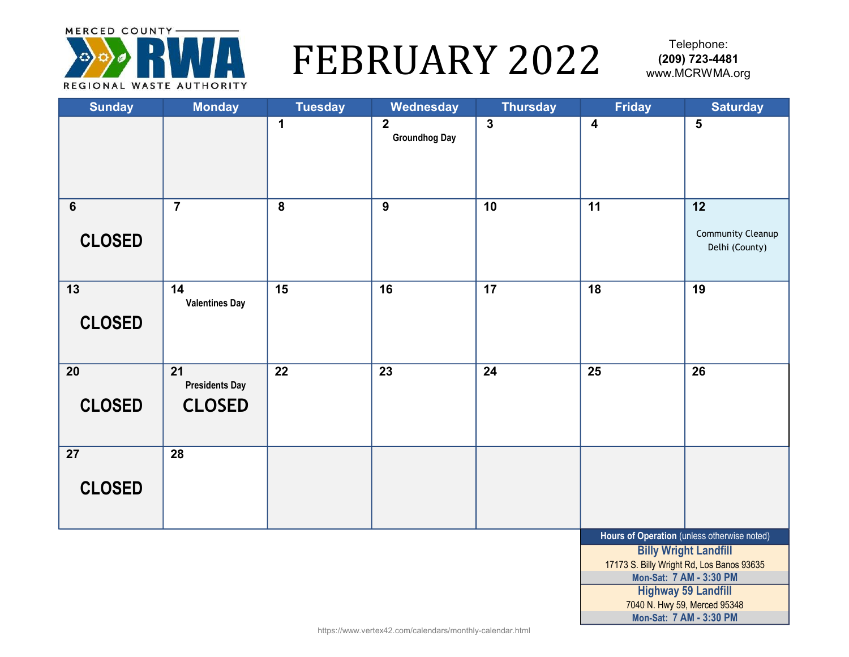

## FEBRUARY 2022 (209) 723-4481

| <b>Sunday</b>                    | <b>Monday</b>                                | <b>Tuesday</b>  | Wednesday                              | <b>Thursday</b>         | <b>Friday</b>           | <b>Saturday</b>                                                                                                                                                                                                   |
|----------------------------------|----------------------------------------------|-----------------|----------------------------------------|-------------------------|-------------------------|-------------------------------------------------------------------------------------------------------------------------------------------------------------------------------------------------------------------|
|                                  |                                              | $\mathbf 1$     | $\overline{2}$<br><b>Groundhog Day</b> | $\overline{\mathbf{3}}$ | $\overline{\mathbf{4}}$ | 5                                                                                                                                                                                                                 |
| $6\phantom{1}6$<br><b>CLOSED</b> | $\overline{7}$                               | 8               | 9                                      | 10                      | 11                      | 12<br>Community Cleanup<br>Delhi (County)                                                                                                                                                                         |
| $\overline{13}$<br><b>CLOSED</b> | 14<br><b>Valentines Day</b>                  | $\overline{15}$ | 16                                     | 17                      | $\overline{18}$         | 19                                                                                                                                                                                                                |
| 20<br><b>CLOSED</b>              | 21<br><b>Presidents Day</b><br><b>CLOSED</b> | 22              | $\overline{23}$                        | 24                      | 25                      | $\overline{26}$                                                                                                                                                                                                   |
| 27<br><b>CLOSED</b>              | 28                                           |                 |                                        |                         |                         |                                                                                                                                                                                                                   |
|                                  |                                              |                 |                                        |                         |                         | Hours of Operation (unless otherwise noted)<br><b>Billy Wright Landfill</b><br>17173 S. Billy Wright Rd, Los Banos 93635<br>Mon-Sat: 7 AM - 3:30 PM<br><b>Highway 59 Landfill</b><br>7040 N. Hwy 59, Merced 95348 |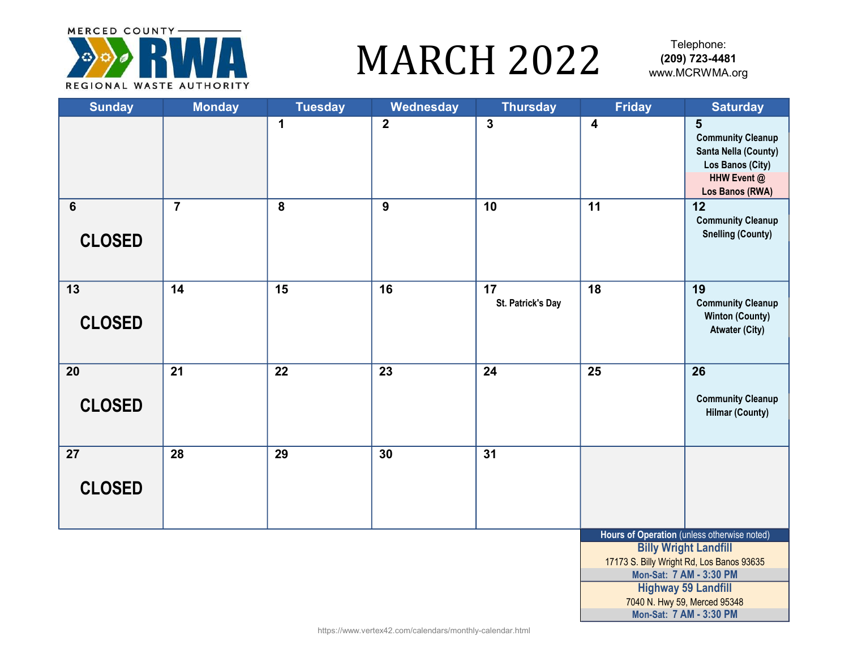

### MARCH 2022 WWW.MCRWMA.org

| <b>Sunday</b>                   | <b>Monday</b>  | <b>Tuesday</b> | Wednesday      | <b>Thursday</b>         | <b>Friday</b>           | <b>Saturday</b>                                                                                             |
|---------------------------------|----------------|----------------|----------------|-------------------------|-------------------------|-------------------------------------------------------------------------------------------------------------|
|                                 |                | $\mathbf 1$    | $\overline{2}$ | $\overline{\mathbf{3}}$ | $\overline{\mathbf{4}}$ | 5<br><b>Community Cleanup</b><br>Santa Nella (County)<br>Los Banos (City)<br>HHW Event @<br>Los Banos (RWA) |
| $6\phantom{1}$<br><b>CLOSED</b> | $\overline{7}$ | 8              | $\overline{9}$ | 10                      | 11                      | 12<br><b>Community Cleanup</b><br><b>Snelling (County)</b>                                                  |
| 13<br><b>CLOSED</b>             | 14             | 15             | 16             | 17<br>St. Patrick's Day | 18                      | 19<br><b>Community Cleanup</b><br><b>Winton (County)</b><br><b>Atwater (City)</b>                           |
| 20<br><b>CLOSED</b>             | 21             | 22             | 23             | 24                      | 25                      | 26<br><b>Community Cleanup</b><br><b>Hilmar (County)</b>                                                    |
| 27<br><b>CLOSED</b>             | 28             | 29             | 30             | 31                      |                         |                                                                                                             |
|                                 |                |                |                |                         |                         | Hours of Operation (unless otherwise noted)<br><b>Billy Wright Landfill</b>                                 |
|                                 |                |                |                |                         |                         | 17173 S. Billy Wright Rd, Los Banos 93635<br>Mon-Sat: 7 AM - 3:30 PM                                        |
|                                 |                |                |                |                         |                         | <b>Highway 59 Landfill</b>                                                                                  |
|                                 |                |                |                |                         |                         | 7040 N. Hwy 59, Merced 95348                                                                                |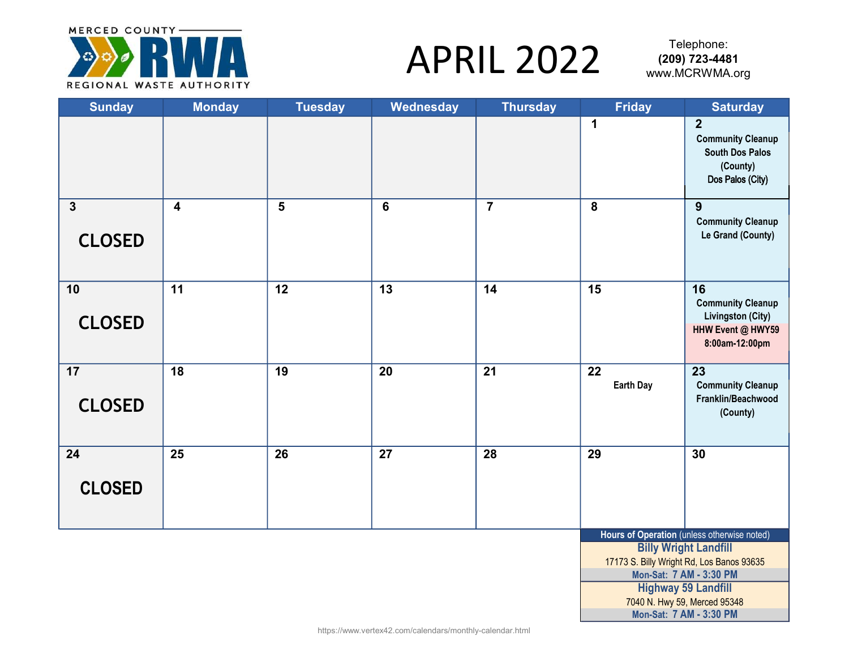

# APRIL 2022 (209) 723-4481

Telephone:<br>**(209) 723-4481** 

| <b>Sunday</b>                            | <b>Monday</b>           | <b>Tuesday</b>  | Wednesday       | <b>Thursday</b> | <b>Friday</b>          | <b>Saturday</b>                                                                                      |
|------------------------------------------|-------------------------|-----------------|-----------------|-----------------|------------------------|------------------------------------------------------------------------------------------------------|
|                                          |                         |                 |                 |                 | 1                      | $\overline{2}$<br><b>Community Cleanup</b><br><b>South Dos Palos</b><br>(County)<br>Dos Palos (City) |
| $\overline{\mathbf{3}}$<br><b>CLOSED</b> | $\overline{\mathbf{4}}$ | 5               | $6\phantom{1}$  | $\overline{7}$  | $\overline{8}$         | 9<br><b>Community Cleanup</b><br>Le Grand (County)                                                   |
| 10<br><b>CLOSED</b>                      | 11                      | 12              | 13              | 14              | 15                     | 16<br><b>Community Cleanup</b><br>Livingston (City)<br>HHW Event @ HWY59<br>8:00am-12:00pm           |
| 17<br><b>CLOSED</b>                      | 18                      | 19              | 20              | 21              | 22<br><b>Earth Day</b> | 23<br><b>Community Cleanup</b><br>Franklin/Beachwood<br>(County)                                     |
| $\overline{24}$<br><b>CLOSED</b>         | $\overline{25}$         | $\overline{26}$ | $\overline{27}$ | 28              | $\overline{29}$        | 30                                                                                                   |
|                                          |                         |                 |                 |                 |                        | Hours of Operation (unless otherwise noted)                                                          |
|                                          |                         |                 |                 |                 |                        | <b>Billy Wright Landfill</b><br>17173 S. Billy Wright Rd, Los Banos 93635<br>Mon-Sat: 7 AM - 3:30 PM |
|                                          |                         |                 |                 |                 |                        | <b>Highway 59 Landfill</b>                                                                           |
|                                          |                         |                 |                 |                 |                        | 7040 N. Hwy 59, Merced 95348                                                                         |
|                                          |                         |                 |                 |                 |                        | Mon-Sat: 7 AM - 3:30 PM                                                                              |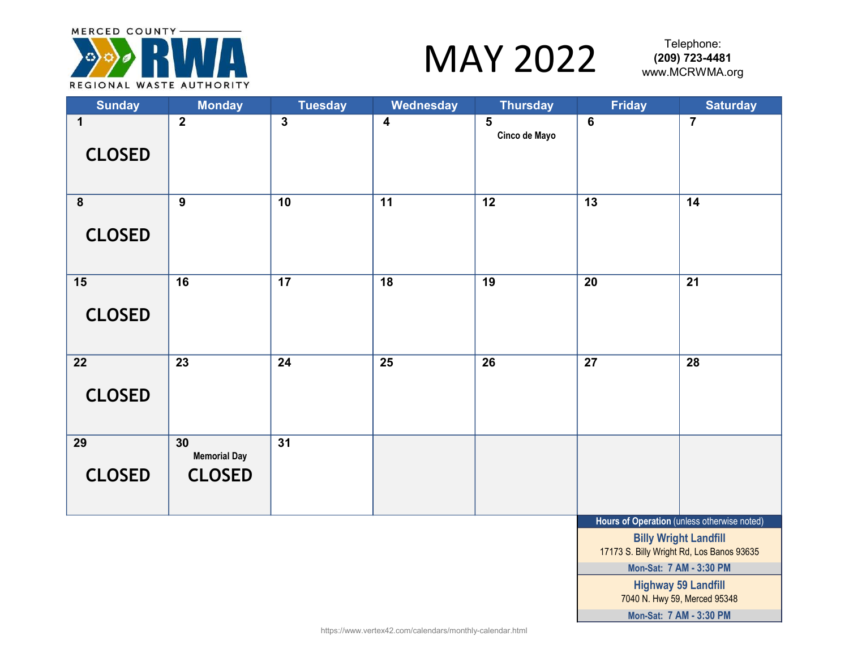

### $\text{MAY } 2022$  (209) 723-4481

Telephone:

| <b>Sunday</b>                            | <b>Monday</b>                              | <b>Tuesday</b>  | Wednesday               | <b>Thursday</b>    | <b>Friday</b>    | <b>Saturday</b>                                                                                                          |
|------------------------------------------|--------------------------------------------|-----------------|-------------------------|--------------------|------------------|--------------------------------------------------------------------------------------------------------------------------|
| $\mathbf 1$<br><b>CLOSED</b>             | $\overline{2}$                             | $\mathbf{3}$    | $\overline{\mathbf{4}}$ | 5<br>Cinco de Mayo | $\boldsymbol{6}$ | $\overline{7}$                                                                                                           |
| $\overline{\mathbf{8}}$<br><b>CLOSED</b> | $\overline{9}$                             | 10              | $\overline{11}$         | $\overline{12}$    | 13               | 14                                                                                                                       |
| 15<br><b>CLOSED</b>                      | $\overline{16}$                            | $\overline{17}$ | $\overline{18}$         | $\overline{19}$    | $\overline{20}$  | $\overline{21}$                                                                                                          |
| 22<br><b>CLOSED</b>                      | 23                                         | 24              | 25                      | 26                 | 27               | 28                                                                                                                       |
| 29<br><b>CLOSED</b>                      | 30<br><b>Memorial Day</b><br><b>CLOSED</b> | $\overline{31}$ |                         |                    |                  |                                                                                                                          |
|                                          |                                            |                 |                         |                    |                  | Hours of Operation (unless otherwise noted)<br><b>Billy Wright Landfill</b><br>17173 S. Billy Wright Rd, Los Banos 93635 |

Highway 59 Landfill 7040 N. Hwy 59, Merced 95348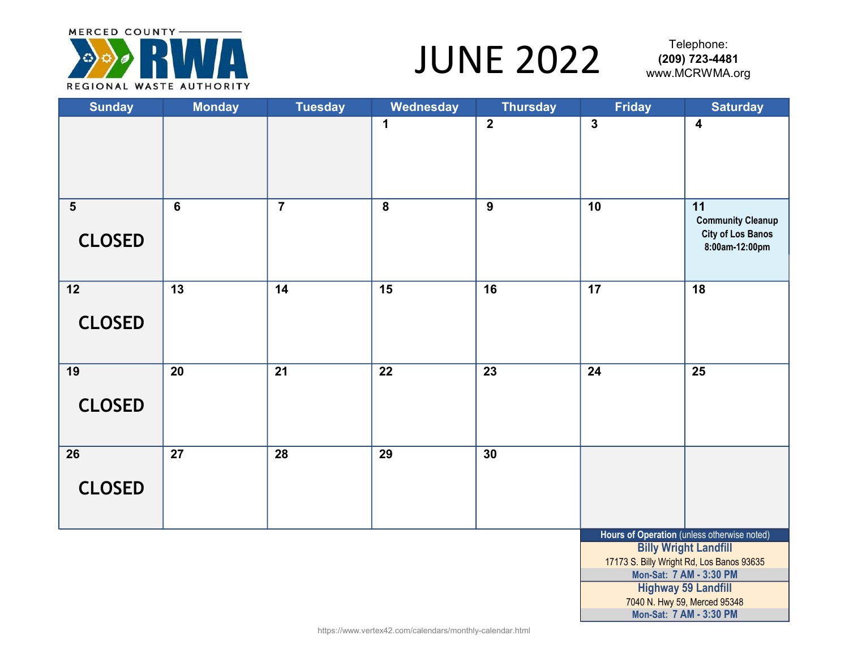

## $JUNE 2022$   $(209) 723-4481$

Telephone:<br>**209) 723-4481** 

| <b>Sunday</b>                   | <b>Monday</b>   | <b>Tuesday</b> | Wednesday       | <b>Thursday</b> | <b>Friday</b>           | <b>Saturday</b>                                                                                                                                                                                                   |
|---------------------------------|-----------------|----------------|-----------------|-----------------|-------------------------|-------------------------------------------------------------------------------------------------------------------------------------------------------------------------------------------------------------------|
|                                 |                 |                | 1               | $\overline{2}$  | $\overline{\mathbf{3}}$ | $\overline{\mathbf{4}}$                                                                                                                                                                                           |
| $5\phantom{1}$<br><b>CLOSED</b> | $\overline{6}$  | $\overline{7}$ | 8               | $\overline{9}$  | 10                      | 11<br><b>Community Cleanup</b><br><b>City of Los Banos</b><br>8:00am-12:00pm                                                                                                                                      |
| 12<br><b>CLOSED</b>             | $\overline{13}$ | 14             | $\overline{15}$ | 16              | $\overline{17}$         | $\overline{18}$                                                                                                                                                                                                   |
| 19<br><b>CLOSED</b>             | 20              | 21             | 22              | 23              | 24                      | $\overline{25}$                                                                                                                                                                                                   |
| 26<br><b>CLOSED</b>             | 27              | 28             | 29              | 30              |                         |                                                                                                                                                                                                                   |
|                                 |                 |                |                 |                 |                         | Hours of Operation (unless otherwise noted)<br><b>Billy Wright Landfill</b><br>17173 S. Billy Wright Rd, Los Banos 93635<br>Mon-Sat: 7 AM - 3:30 PM<br><b>Highway 59 Landfill</b><br>7040 N. Hwy 59, Merced 95348 |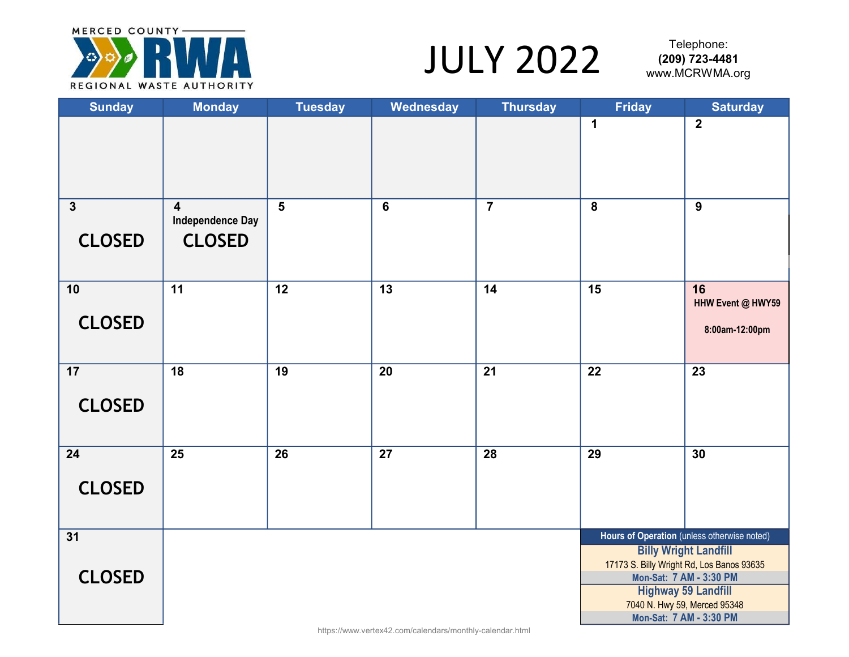

## $JULY 2022$   $^{1\text{eepnone}}$ <br>www.MCRWMA.org

Telephone:<br>**(209) 723-4481** 

| <b>Sunday</b>                 | <b>Monday</b>                                                       | <b>Tuesday</b>  | Wednesday | <b>Thursday</b> | <b>Friday</b>           | <b>Saturday</b>                                                                                    |
|-------------------------------|---------------------------------------------------------------------|-----------------|-----------|-----------------|-------------------------|----------------------------------------------------------------------------------------------------|
|                               |                                                                     |                 |           |                 | $\mathbf 1$             | $\overline{2}$                                                                                     |
| $\mathbf{3}$<br><b>CLOSED</b> | $\overline{\mathbf{4}}$<br><b>Independence Day</b><br><b>CLOSED</b> | 5               | 6         | $\overline{7}$  | $\overline{\mathbf{8}}$ | 9                                                                                                  |
| 10                            | 11                                                                  | $\overline{12}$ | 13        | 14              | 15                      | 16<br>HHW Event @ HWY59                                                                            |
| <b>CLOSED</b>                 |                                                                     |                 |           |                 |                         | 8:00am-12:00pm                                                                                     |
| 17<br><b>CLOSED</b>           | $\overline{18}$                                                     | $\overline{19}$ | 20        | 21              | $\overline{22}$         | 23                                                                                                 |
| 24                            | 25                                                                  | 26              | 27        | 28              | 29                      | 30                                                                                                 |
| <b>CLOSED</b>                 |                                                                     |                 |           |                 |                         |                                                                                                    |
| 31                            |                                                                     |                 |           |                 |                         | Hours of Operation (unless otherwise noted)<br><b>Billy Wright Landfill</b>                        |
| <b>CLOSED</b>                 |                                                                     |                 |           |                 |                         | 17173 S. Billy Wright Rd, Los Banos 93635<br>Mon-Sat: 7 AM - 3:30 PM<br><b>Highway 59 Landfill</b> |
|                               |                                                                     |                 |           |                 |                         | 7040 N. Hwy 59, Merced 95348<br>Mon-Sat: 7 AM - 3:30 PM                                            |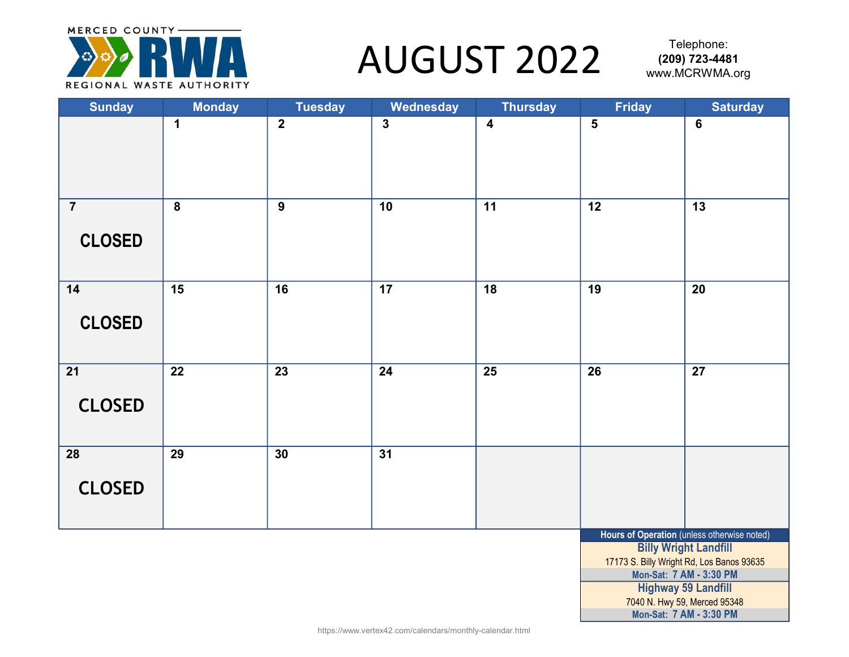

#### AUGUST 2022 WWW.MCRWMA.org

Mon-Sat: 7 AM - 3:30 PM

7040 N. Hwy 59, Merced 95348

| <b>Sunday</b>                   | <b>Monday</b>           | <b>Tuesday</b> | Wednesday               | <b>Thursday</b>         | <b>Friday</b>           | <b>Saturday</b>                                                                                                                                                                   |
|---------------------------------|-------------------------|----------------|-------------------------|-------------------------|-------------------------|-----------------------------------------------------------------------------------------------------------------------------------------------------------------------------------|
|                                 | $\mathbf 1$             | $\overline{2}$ | $\overline{\mathbf{3}}$ | $\overline{\mathbf{4}}$ | $\overline{\mathbf{5}}$ | $\bf 6$                                                                                                                                                                           |
| $\overline{7}$<br><b>CLOSED</b> | $\overline{\mathbf{8}}$ | $\overline{9}$ | 10                      | 11                      | 12                      | 13                                                                                                                                                                                |
| $14$<br><b>CLOSED</b>           | 15                      | 16             | 17                      | $\overline{18}$         | 19                      | 20                                                                                                                                                                                |
| 21<br><b>CLOSED</b>             | 22                      | 23             | 24                      | 25                      | 26                      | 27                                                                                                                                                                                |
| 28<br><b>CLOSED</b>             | 29                      | 30             | $\overline{31}$         |                         |                         |                                                                                                                                                                                   |
|                                 |                         |                |                         |                         |                         | Hours of Operation (unless otherwise noted)<br><b>Billy Wright Landfill</b><br>17173 S. Billy Wright Rd, Los Banos 93635<br>Mon-Sat: 7 AM - 3:30 PM<br><b>Highway 59 Landfill</b> |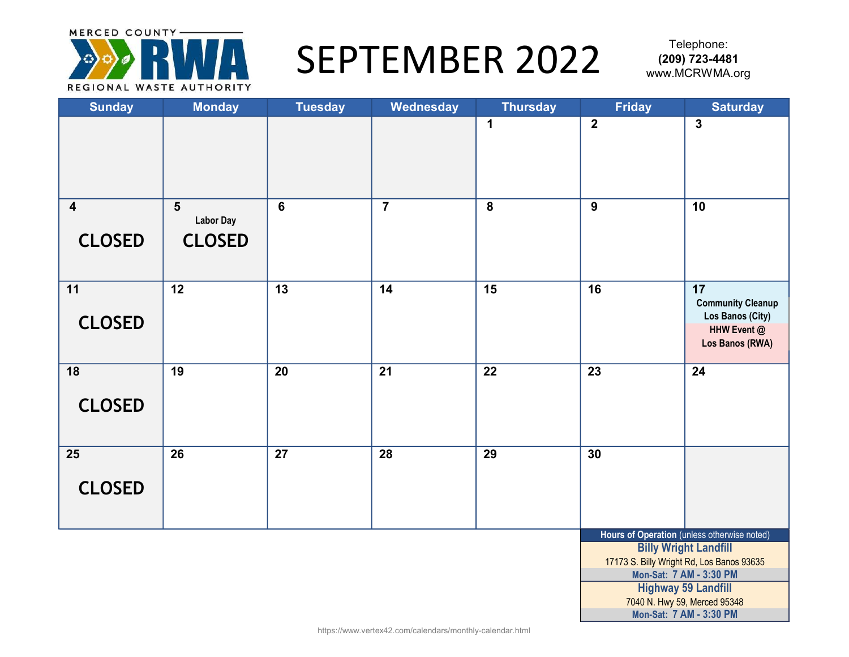

#### SEPTEMBER 2022 (209) 723-4481

| <b>Sunday</b>                            | <b>Monday</b>                                                | <b>Tuesday</b>  | Wednesday      | <b>Thursday</b>         | <b>Friday</b>  | <b>Saturday</b>                                                                                                                                                                                                   |
|------------------------------------------|--------------------------------------------------------------|-----------------|----------------|-------------------------|----------------|-------------------------------------------------------------------------------------------------------------------------------------------------------------------------------------------------------------------|
|                                          |                                                              |                 |                | $\mathbf 1$             | $\overline{2}$ | $\overline{\mathbf{3}}$                                                                                                                                                                                           |
| $\overline{\mathbf{4}}$<br><b>CLOSED</b> | $\overline{\mathbf{5}}$<br><b>Labor Day</b><br><b>CLOSED</b> | $6\phantom{a}$  | $\overline{7}$ | $\overline{\mathbf{8}}$ | $\overline{9}$ | 10                                                                                                                                                                                                                |
| 11<br><b>CLOSED</b>                      | 12                                                           | $\overline{13}$ | 14             | 15                      | 16             | 17<br><b>Community Cleanup</b><br>Los Banos (City)<br>HHW Event @<br>Los Banos (RWA)                                                                                                                              |
| 18<br><b>CLOSED</b>                      | 19                                                           | 20              | 21             | 22                      | 23             | 24                                                                                                                                                                                                                |
| 25<br><b>CLOSED</b>                      | 26                                                           | 27              | 28             | 29                      | 30             |                                                                                                                                                                                                                   |
|                                          |                                                              |                 |                |                         |                | Hours of Operation (unless otherwise noted)<br><b>Billy Wright Landfill</b><br>17173 S. Billy Wright Rd, Los Banos 93635<br>Mon-Sat: 7 AM - 3:30 PM<br><b>Highway 59 Landfill</b><br>7040 N. Hwy 59, Merced 95348 |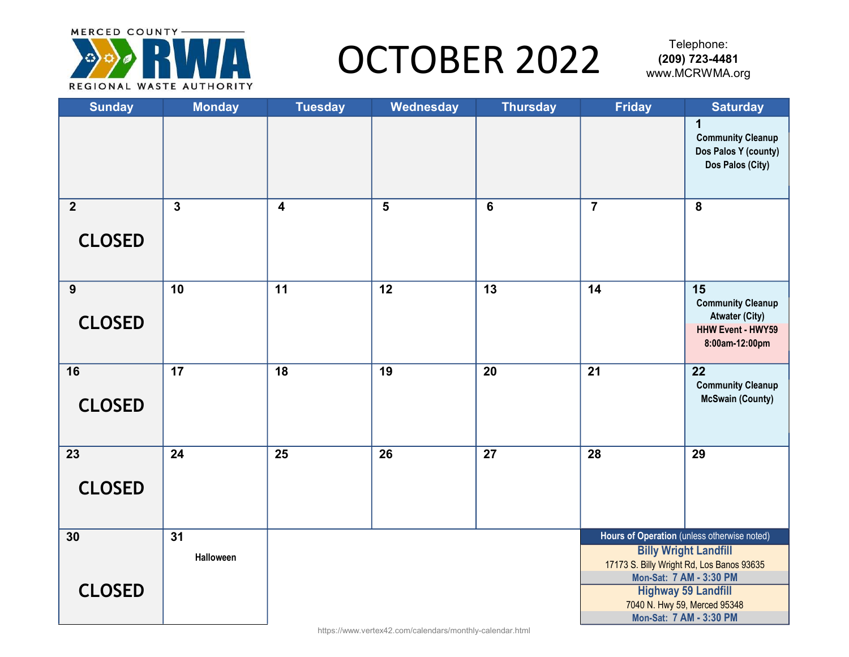

### OCTOBER 2022 (209) 723-4481

| <b>Sunday</b>  | <b>Monday</b>   | <b>Tuesday</b>          | Wednesday      | <b>Thursday</b> | <b>Friday</b>   | <b>Saturday</b>                                                           |
|----------------|-----------------|-------------------------|----------------|-----------------|-----------------|---------------------------------------------------------------------------|
|                |                 |                         |                |                 |                 | $\mathbf 1$<br><b>Community Cleanup</b><br>Dos Palos Y (county)           |
|                |                 |                         |                |                 |                 | Dos Palos (City)                                                          |
| $\overline{2}$ | $\mathbf{3}$    | $\overline{\mathbf{4}}$ | $5\phantom{1}$ | $6\phantom{1}6$ | $\overline{7}$  | 8                                                                         |
| <b>CLOSED</b>  |                 |                         |                |                 |                 |                                                                           |
| 9              | 10              | 11                      | 12             | 13              | 14              | 15<br><b>Community Cleanup</b><br><b>Atwater (City)</b>                   |
| <b>CLOSED</b>  |                 |                         |                |                 |                 | <b>HHW Event - HWY59</b><br>8:00am-12:00pm                                |
| 16             | $\overline{17}$ | $\overline{18}$         | 19             | 20              | $\overline{21}$ | $\overline{22}$<br><b>Community Cleanup</b><br><b>McSwain (County)</b>    |
| <b>CLOSED</b>  |                 |                         |                |                 |                 |                                                                           |
| 23             | 24              | $\overline{25}$         | 26             | $\overline{27}$ | 28              | 29                                                                        |
| <b>CLOSED</b>  |                 |                         |                |                 |                 |                                                                           |
| 30             | 31              |                         |                |                 |                 | Hours of Operation (unless otherwise noted)                               |
|                | Halloween       |                         |                |                 |                 | <b>Billy Wright Landfill</b><br>17173 S. Billy Wright Rd, Los Banos 93635 |
| <b>CLOSED</b>  |                 |                         |                |                 |                 | Mon-Sat: 7 AM - 3:30 PM<br><b>Highway 59 Landfill</b>                     |
|                |                 |                         |                |                 |                 | 7040 N. Hwy 59, Merced 95348                                              |
|                |                 |                         |                |                 |                 | Mon-Sat: 7 AM - 3:30 PM                                                   |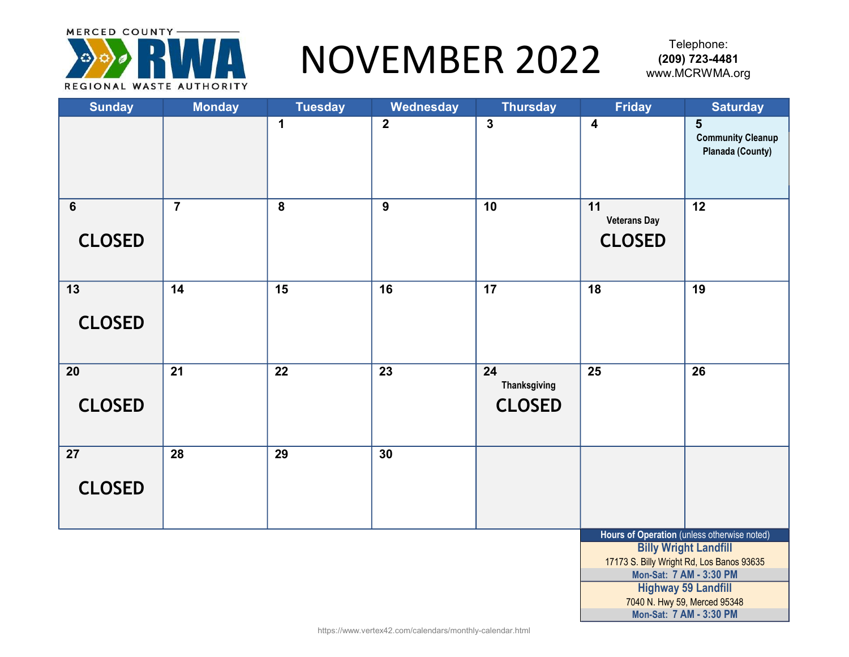

### NOVEMBER 2022 WWW.MCRWMA.org

| <b>Sunday</b>                    | <b>Monday</b>  | <b>Tuesday</b>          | Wednesday      | <b>Thursday</b>                     | <b>Friday</b>                              | <b>Saturday</b>                                                                                                                                                                                                   |
|----------------------------------|----------------|-------------------------|----------------|-------------------------------------|--------------------------------------------|-------------------------------------------------------------------------------------------------------------------------------------------------------------------------------------------------------------------|
|                                  |                | $\mathbf 1$             | $\overline{2}$ | $\overline{\mathbf{3}}$             | $\overline{\mathbf{4}}$                    | 5<br><b>Community Cleanup</b><br><b>Planada (County)</b>                                                                                                                                                          |
| $6\phantom{1}6$<br><b>CLOSED</b> | $\overline{7}$ | $\overline{\mathbf{8}}$ | 9              | 10                                  | 11<br><b>Veterans Day</b><br><b>CLOSED</b> | $\overline{12}$                                                                                                                                                                                                   |
| 13<br><b>CLOSED</b>              | 14             | 15                      | 16             | 17                                  | 18                                         | 19                                                                                                                                                                                                                |
| 20<br><b>CLOSED</b>              | 21             | 22                      | 23             | 24<br>Thanksgiving<br><b>CLOSED</b> | 25                                         | 26                                                                                                                                                                                                                |
| 27<br><b>CLOSED</b>              | 28             | 29                      | 30             |                                     |                                            |                                                                                                                                                                                                                   |
|                                  |                |                         |                |                                     |                                            | Hours of Operation (unless otherwise noted)<br><b>Billy Wright Landfill</b><br>17173 S. Billy Wright Rd, Los Banos 93635<br>Mon-Sat: 7 AM - 3:30 PM<br><b>Highway 59 Landfill</b><br>7040 N. Hwy 59, Merced 95348 |